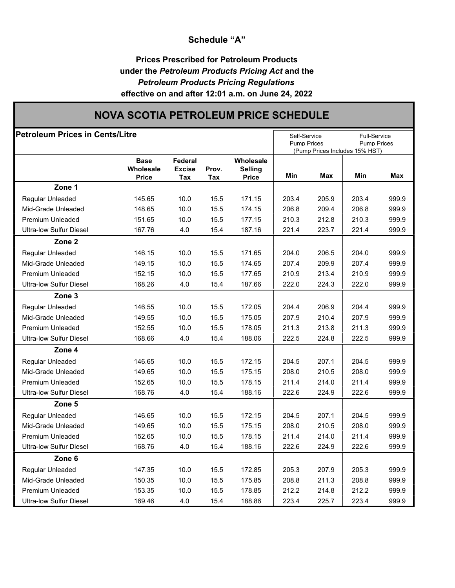## **Schedule "A"**

## **Prices Prescribed for Petroleum Products under the** *Petroleum Products Pricing Act* **and the** *Petroleum Products Pricing Regulations* **effective on and after 12:01 a.m. on June 24, 2022**

# **NOVA SCOTIA PETROLEUM PRICE SCHEDULE**

| <b>Petroleum Prices in Cents/Litre</b> |                                   |                                 |              |                                             |       | Self-Service<br><b>Pump Prices</b> |                                       | <b>Full-Service</b><br>Pump Prices |  |
|----------------------------------------|-----------------------------------|---------------------------------|--------------|---------------------------------------------|-------|------------------------------------|---------------------------------------|------------------------------------|--|
|                                        | <b>Base</b><br>Wholesale<br>Price | Federal<br><b>Excise</b><br>Tax | Prov.<br>Tax | Wholesale<br><b>Selling</b><br><b>Price</b> | Min   | Max                                | (Pump Prices Includes 15% HST)<br>Min | <b>Max</b>                         |  |
| Zone 1                                 |                                   |                                 |              |                                             |       |                                    |                                       |                                    |  |
| Regular Unleaded                       | 145.65                            | 10.0                            | 15.5         | 171.15                                      | 203.4 | 205.9                              | 203.4                                 | 999.9                              |  |
| Mid-Grade Unleaded                     | 148.65                            | 10.0                            | 15.5         | 174.15                                      | 206.8 | 209.4                              | 206.8                                 | 999.9                              |  |
| <b>Premium Unleaded</b>                | 151.65                            | 10.0                            | 15.5         | 177.15                                      | 210.3 | 212.8                              | 210.3                                 | 999.9                              |  |
| <b>Ultra-low Sulfur Diesel</b>         | 167.76                            | 4.0                             | 15.4         | 187.16                                      | 221.4 | 223.7                              | 221.4                                 | 999.9                              |  |
| Zone <sub>2</sub>                      |                                   |                                 |              |                                             |       |                                    |                                       |                                    |  |
| Regular Unleaded                       | 146.15                            | 10.0                            | 15.5         | 171.65                                      | 204.0 | 206.5                              | 204.0                                 | 999.9                              |  |
| Mid-Grade Unleaded                     | 149.15                            | 10.0                            | 15.5         | 174.65                                      | 207.4 | 209.9                              | 207.4                                 | 999.9                              |  |
| <b>Premium Unleaded</b>                | 152.15                            | 10.0                            | 15.5         | 177.65                                      | 210.9 | 213.4                              | 210.9                                 | 999.9                              |  |
| <b>Ultra-low Sulfur Diesel</b>         | 168.26                            | 4.0                             | 15.4         | 187.66                                      | 222.0 | 224.3                              | 222.0                                 | 999.9                              |  |
| Zone 3                                 |                                   |                                 |              |                                             |       |                                    |                                       |                                    |  |
| Regular Unleaded                       | 146.55                            | 10.0                            | 15.5         | 172.05                                      | 204.4 | 206.9                              | 204.4                                 | 999.9                              |  |
| Mid-Grade Unleaded                     | 149.55                            | 10.0                            | 15.5         | 175.05                                      | 207.9 | 210.4                              | 207.9                                 | 999.9                              |  |
| <b>Premium Unleaded</b>                | 152.55                            | 10.0                            | 15.5         | 178.05                                      | 211.3 | 213.8                              | 211.3                                 | 999.9                              |  |
| <b>Ultra-low Sulfur Diesel</b>         | 168.66                            | 4.0                             | 15.4         | 188.06                                      | 222.5 | 224.8                              | 222.5                                 | 999.9                              |  |
| Zone 4                                 |                                   |                                 |              |                                             |       |                                    |                                       |                                    |  |
| Regular Unleaded                       | 146.65                            | 10.0                            | 15.5         | 172.15                                      | 204.5 | 207.1                              | 204.5                                 | 999.9                              |  |
| Mid-Grade Unleaded                     | 149.65                            | 10.0                            | 15.5         | 175.15                                      | 208.0 | 210.5                              | 208.0                                 | 999.9                              |  |
| <b>Premium Unleaded</b>                | 152.65                            | 10.0                            | 15.5         | 178.15                                      | 211.4 | 214.0                              | 211.4                                 | 999.9                              |  |
| <b>Ultra-low Sulfur Diesel</b>         | 168.76                            | 4.0                             | 15.4         | 188.16                                      | 222.6 | 224.9                              | 222.6                                 | 999.9                              |  |
| Zone 5                                 |                                   |                                 |              |                                             |       |                                    |                                       |                                    |  |
| Regular Unleaded                       | 146.65                            | 10.0                            | 15.5         | 172.15                                      | 204.5 | 207.1                              | 204.5                                 | 999.9                              |  |
| Mid-Grade Unleaded                     | 149.65                            | 10.0                            | 15.5         | 175.15                                      | 208.0 | 210.5                              | 208.0                                 | 999.9                              |  |
| <b>Premium Unleaded</b>                | 152.65                            | 10.0                            | 15.5         | 178.15                                      | 211.4 | 214.0                              | 211.4                                 | 999.9                              |  |
| <b>Ultra-low Sulfur Diesel</b>         | 168.76                            | 4.0                             | 15.4         | 188.16                                      | 222.6 | 224.9                              | 222.6                                 | 999.9                              |  |
| Zone 6                                 |                                   |                                 |              |                                             |       |                                    |                                       |                                    |  |
| Regular Unleaded                       | 147.35                            | 10.0                            | 15.5         | 172.85                                      | 205.3 | 207.9                              | 205.3                                 | 999.9                              |  |
| Mid-Grade Unleaded                     | 150.35                            | 10.0                            | 15.5         | 175.85                                      | 208.8 | 211.3                              | 208.8                                 | 999.9                              |  |
| <b>Premium Unleaded</b>                | 153.35                            | 10.0                            | 15.5         | 178.85                                      | 212.2 | 214.8                              | 212.2                                 | 999.9                              |  |
| <b>Ultra-low Sulfur Diesel</b>         | 169.46                            | 4.0                             | 15.4         | 188.86                                      | 223.4 | 225.7                              | 223.4                                 | 999.9                              |  |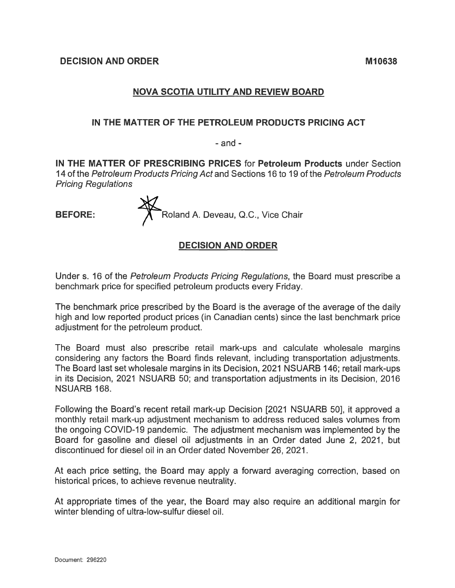## **NOVA SCOTIA UTILITY AND REVIEW BOARD**

#### **IN THE MATTER OF THE PETROLEUM PRODUCTS PRICING ACT**

 $-$  and  $-$ 

**IN THE MATTER OF PRESCRIBING PRICES** for **Petroleum Products** under Section 14 of the *Petroleum Products Pricing Act* and Sections 16 to 19 of the *Petroleum Products Pricing Regulations*

**BEFORE: Roland A. Deveau, Q.C., Vice Chair** 

## **DECISION AND ORDER**

Under s. 16 of the *Petroleum Products Pricing Regulations,* the Board must prescribe a benchmark price for specified petroleum products every Friday.

The benchmark price prescribed by the Board is the average of the average of the daily high and low reported product prices (in Canadian cents) since the last benchmark price adjustment for the petroleum product.

The Board must also prescribe retail mark-ups and calculate wholesale margins considering any factors the Board finds relevant, including transportation adjustments. The Board last set wholesale margins in its Decision, 2021 NSUARB 146; retail mark-ups in its Decision, 2021 NSUARB 50; and transportation adjustments in its Decision, 2016 NSUARB 168.

Following the Board's recent retail mark-up Decision [2021 NSUARB 50], it approved a monthly retail mark-up adjustment mechanism to address reduced sales volumes from the ongoing COVID-19 pandemic. The adjustment mechanism was implemented by the Board for gasoline and diesel oil adjustments in an Order dated June 2, 2021, but discontinued for diesel oil in an Order dated November 26, 2021.

At each price setting, the Board may apply a forward averaging correction, based on historical prices, to achieve revenue neutrality.

At appropriate times of the year, the Board may also require an additional margin for winter blending of ultra-low-sulfur diesel oil.